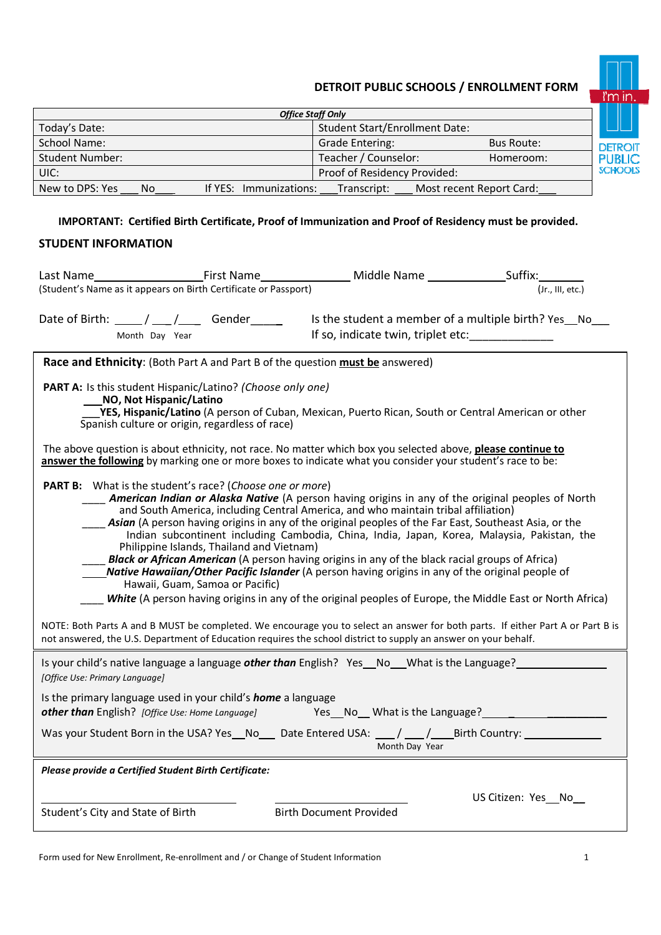# **DETROIT PUBLIC SCHOOLS / ENROLLMENT FORM**



| <b>Office Staff Only</b>                        |                                         |                   |              |  |  |
|-------------------------------------------------|-----------------------------------------|-------------------|--------------|--|--|
| Today's Date:                                   | <b>Student Start/Enrollment Date:</b>   |                   |              |  |  |
| School Name:                                    | <b>Grade Entering:</b>                  | <b>Bus Route:</b> | <b>DETRO</b> |  |  |
| <b>Student Number:</b>                          | Teacher / Counselor:                    | Homeroom:         | <b>PUBLI</b> |  |  |
| UIC:                                            | Proof of Residency Provided:            |                   | <b>SCHOO</b> |  |  |
| If YES: Immunizations:<br>New to DPS: Yes<br>No | Most recent Report Card:<br>Transcript: |                   |              |  |  |

## **IMPORTANT: Certified Birth Certificate, Proof of Immunization and Proof of Residency must be provided.**

## **STUDENT INFORMATION**

|                                                                                                                                                                                                                                                                                                                                                                                                                                                                                                                                                                                                                                                                                                                                                                                                                                                                                                                                                                                                                                                                                                                                    |                |  |  | Middle Name _____________________Suffix: |  |                                                                                                    |  |
|------------------------------------------------------------------------------------------------------------------------------------------------------------------------------------------------------------------------------------------------------------------------------------------------------------------------------------------------------------------------------------------------------------------------------------------------------------------------------------------------------------------------------------------------------------------------------------------------------------------------------------------------------------------------------------------------------------------------------------------------------------------------------------------------------------------------------------------------------------------------------------------------------------------------------------------------------------------------------------------------------------------------------------------------------------------------------------------------------------------------------------|----------------|--|--|------------------------------------------|--|----------------------------------------------------------------------------------------------------|--|
| (Student's Name as it appears on Birth Certificate or Passport)<br>(Jr., III, etc.)                                                                                                                                                                                                                                                                                                                                                                                                                                                                                                                                                                                                                                                                                                                                                                                                                                                                                                                                                                                                                                                |                |  |  |                                          |  |                                                                                                    |  |
| Date of Birth: $\frac{1}{\sqrt{1-\frac{1}{2}}}$ Gender                                                                                                                                                                                                                                                                                                                                                                                                                                                                                                                                                                                                                                                                                                                                                                                                                                                                                                                                                                                                                                                                             | Month Day Year |  |  | If so, indicate twin, triplet etc:       |  | Is the student a member of a multiple birth? Yes_No_                                               |  |
| Race and Ethnicity: (Both Part A and Part B of the question must be answered)                                                                                                                                                                                                                                                                                                                                                                                                                                                                                                                                                                                                                                                                                                                                                                                                                                                                                                                                                                                                                                                      |                |  |  |                                          |  |                                                                                                    |  |
| PART A: Is this student Hispanic/Latino? (Choose only one)<br>NO, Not Hispanic/Latino<br>YES, Hispanic/Latino (A person of Cuban, Mexican, Puerto Rican, South or Central American or other<br>Spanish culture or origin, regardless of race)                                                                                                                                                                                                                                                                                                                                                                                                                                                                                                                                                                                                                                                                                                                                                                                                                                                                                      |                |  |  |                                          |  |                                                                                                    |  |
| The above question is about ethnicity, not race. No matter which box you selected above, please continue to<br>answer the following by marking one or more boxes to indicate what you consider your student's race to be:                                                                                                                                                                                                                                                                                                                                                                                                                                                                                                                                                                                                                                                                                                                                                                                                                                                                                                          |                |  |  |                                          |  |                                                                                                    |  |
| <b>PART B:</b> What is the student's race? (Choose one or more)<br><b>American Indian or Alaska Native</b> (A person having origins in any of the original peoples of North<br>and South America, including Central America, and who maintain tribal affiliation)<br>Asian (A person having origins in any of the original peoples of the Far East, Southeast Asia, or the<br>Indian subcontinent including Cambodia, China, India, Japan, Korea, Malaysia, Pakistan, the<br>Philippine Islands, Thailand and Vietnam)<br>Black or African American (A person having origins in any of the black racial groups of Africa)<br>Native Hawaiian/Other Pacific Islander (A person having origins in any of the original people of<br>Hawaii, Guam, Samoa or Pacific)<br>White (A person having origins in any of the original peoples of Europe, the Middle East or North Africa)<br>NOTE: Both Parts A and B MUST be completed. We encourage you to select an answer for both parts. If either Part A or Part B is<br>not answered, the U.S. Department of Education requires the school district to supply an answer on your behalf. |                |  |  |                                          |  |                                                                                                    |  |
| [Office Use: Primary Language]                                                                                                                                                                                                                                                                                                                                                                                                                                                                                                                                                                                                                                                                                                                                                                                                                                                                                                                                                                                                                                                                                                     |                |  |  |                                          |  | Is your child's native language a language <i>other than</i> English? Yes No What is the Language? |  |
| Is the primary language used in your child's <b>home</b> a language<br>other than English? [Office Use: Home Language]<br>Yes_No_What is the Language?                                                                                                                                                                                                                                                                                                                                                                                                                                                                                                                                                                                                                                                                                                                                                                                                                                                                                                                                                                             |                |  |  |                                          |  |                                                                                                    |  |
| Was your Student Born in the USA? Yes_No_ Date Entered USA: __/ __/_ Birth Country: _______<br>Month Day Year                                                                                                                                                                                                                                                                                                                                                                                                                                                                                                                                                                                                                                                                                                                                                                                                                                                                                                                                                                                                                      |                |  |  |                                          |  |                                                                                                    |  |
| Please provide a Certified Student Birth Certificate:                                                                                                                                                                                                                                                                                                                                                                                                                                                                                                                                                                                                                                                                                                                                                                                                                                                                                                                                                                                                                                                                              |                |  |  |                                          |  |                                                                                                    |  |
| Student's City and State of Birth                                                                                                                                                                                                                                                                                                                                                                                                                                                                                                                                                                                                                                                                                                                                                                                                                                                                                                                                                                                                                                                                                                  |                |  |  | <b>Birth Document Provided</b>           |  | US Citizen: Yes_No_                                                                                |  |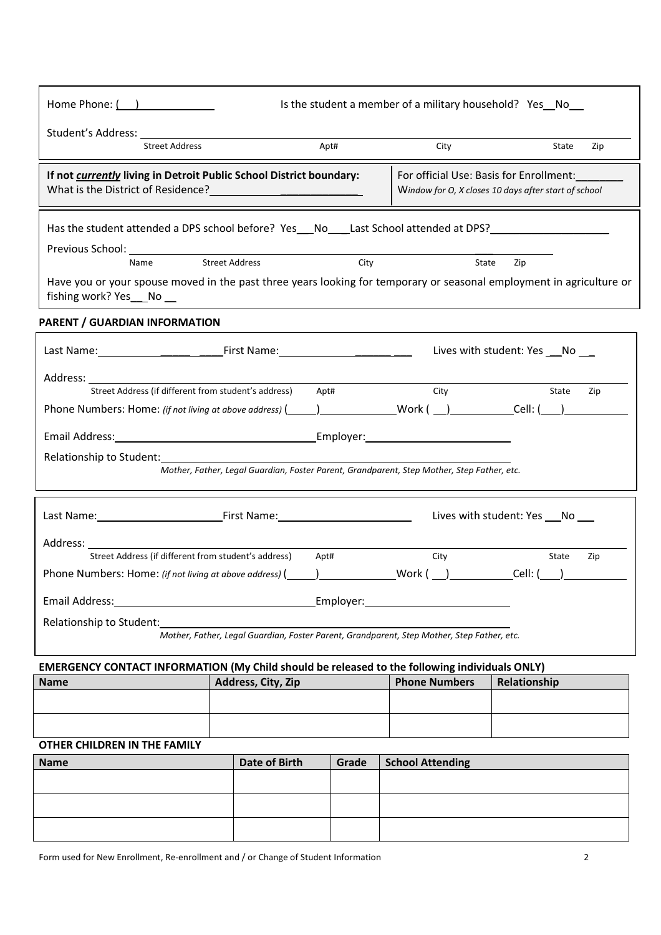| Home Phone: ( )                                                                                                                                |                       |                      |      |       | Is the student a member of a military household? Yes_No__                                       |                                    |     |
|------------------------------------------------------------------------------------------------------------------------------------------------|-----------------------|----------------------|------|-------|-------------------------------------------------------------------------------------------------|------------------------------------|-----|
|                                                                                                                                                |                       |                      |      |       |                                                                                                 |                                    |     |
| <b>Street Address</b>                                                                                                                          |                       |                      | Apt# |       | City                                                                                            | State                              | Zip |
| If not currently living in Detroit Public School District boundary:<br>What is the District of Residence?<br><u> </u>                          |                       |                      |      |       | For official Use: Basis for Enrollment:<br>Window for O, X closes 10 days after start of school |                                    |     |
| Has the student attended a DPS school before? Yes__No___Last School attended at DPS?______________________                                     |                       |                      |      |       |                                                                                                 |                                    |     |
|                                                                                                                                                |                       |                      |      |       |                                                                                                 |                                    |     |
| Name                                                                                                                                           | <b>Street Address</b> |                      |      | City  |                                                                                                 | State<br>Zip                       |     |
| Have you or your spouse moved in the past three years looking for temporary or seasonal employment in agriculture or<br>fishing work? Yes__No_ |                       |                      |      |       |                                                                                                 |                                    |     |
| <b>PARENT / GUARDIAN INFORMATION</b>                                                                                                           |                       |                      |      |       |                                                                                                 |                                    |     |
|                                                                                                                                                |                       |                      |      |       | Lives with student: Yes ___ No ___                                                              |                                    |     |
| Address:                                                                                                                                       |                       |                      |      |       |                                                                                                 |                                    |     |
| Street Address (if different from student's address) Apt#                                                                                      |                       |                      |      |       | City                                                                                            | State                              | Zip |
|                                                                                                                                                |                       |                      |      |       |                                                                                                 |                                    |     |
|                                                                                                                                                |                       |                      |      |       |                                                                                                 |                                    |     |
| Relationship to Student:                                                                                                                       |                       |                      |      |       |                                                                                                 |                                    |     |
|                                                                                                                                                |                       |                      |      |       | Mother, Father, Legal Guardian, Foster Parent, Grandparent, Step Mother, Step Father, etc.      |                                    |     |
|                                                                                                                                                |                       |                      |      |       |                                                                                                 |                                    |     |
|                                                                                                                                                |                       |                      |      |       |                                                                                                 | Lives with student: Yes ___ No ___ |     |
|                                                                                                                                                |                       |                      |      |       |                                                                                                 |                                    |     |
| Street Address (if different from student's address)                                                                                           |                       |                      | Apt# |       | City                                                                                            | State                              | Zip |
|                                                                                                                                                |                       |                      |      |       |                                                                                                 |                                    |     |
|                                                                                                                                                |                       |                      |      |       |                                                                                                 |                                    |     |
| Email Address:<br><u> 1980 - Johann Barbara, martxa alemaniar a</u>                                                                            |                       |                      |      |       | Employer: Employer:                                                                             |                                    |     |
| Relationship to Student:                                                                                                                       |                       |                      |      |       |                                                                                                 |                                    |     |
|                                                                                                                                                |                       |                      |      |       | Mother, Father, Legal Guardian, Foster Parent, Grandparent, Step Mother, Step Father, etc.      |                                    |     |
| <b>EMERGENCY CONTACT INFORMATION (My Child should be released to the following individuals ONLY)</b>                                           |                       |                      |      |       |                                                                                                 |                                    |     |
| <b>Name</b>                                                                                                                                    |                       | Address, City, Zip   |      |       | <b>Phone Numbers</b>                                                                            | Relationship                       |     |
|                                                                                                                                                |                       |                      |      |       |                                                                                                 |                                    |     |
|                                                                                                                                                |                       |                      |      |       |                                                                                                 |                                    |     |
| OTHER CHILDREN IN THE FAMILY                                                                                                                   |                       |                      |      |       |                                                                                                 |                                    |     |
| <b>Name</b>                                                                                                                                    |                       | <b>Date of Birth</b> |      | Grade | <b>School Attending</b>                                                                         |                                    |     |
|                                                                                                                                                |                       |                      |      |       |                                                                                                 |                                    |     |
|                                                                                                                                                |                       |                      |      |       |                                                                                                 |                                    |     |

Form used for New Enrollment, Re-enrollment and / or Change of Student Information 2